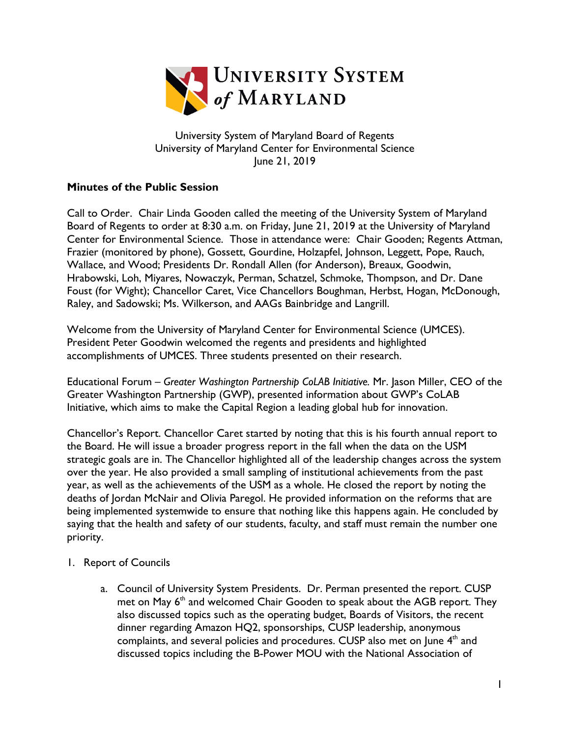

University System of Maryland Board of Regents University of Maryland Center for Environmental Science June 21, 2019

## **Minutes of the Public Session**

Call to Order. Chair Linda Gooden called the meeting of the University System of Maryland Board of Regents to order at 8:30 a.m. on Friday, June 21, 2019 at the University of Maryland Center for Environmental Science. Those in attendance were: Chair Gooden; Regents Attman, Frazier (monitored by phone), Gossett, Gourdine, Holzapfel, Johnson, Leggett, Pope, Rauch, Wallace, and Wood; Presidents Dr. Rondall Allen (for Anderson), Breaux, Goodwin, Hrabowski, Loh, Miyares, Nowaczyk, Perman, Schatzel, Schmoke, Thompson, and Dr. Dane Foust (for Wight); Chancellor Caret, Vice Chancellors Boughman, Herbst, Hogan, McDonough, Raley, and Sadowski; Ms. Wilkerson, and AAGs Bainbridge and Langrill.

Welcome from the University of Maryland Center for Environmental Science (UMCES). President Peter Goodwin welcomed the regents and presidents and highlighted accomplishments of UMCES. Three students presented on their research.

Educational Forum – *Greater Washington Partnership CoLAB Initiative.* Mr. Jason Miller, CEO of the Greater Washington Partnership (GWP), presented information about GWP's CoLAB Initiative, which aims to make the Capital Region a leading global hub for innovation.

Chancellor's Report. Chancellor Caret started by noting that this is his fourth annual report to the Board. He will issue a broader progress report in the fall when the data on the USM strategic goals are in. The Chancellor highlighted all of the leadership changes across the system over the year. He also provided a small sampling of institutional achievements from the past year, as well as the achievements of the USM as a whole. He closed the report by noting the deaths of Jordan McNair and Olivia Paregol. He provided information on the reforms that are being implemented systemwide to ensure that nothing like this happens again. He concluded by saying that the health and safety of our students, faculty, and staff must remain the number one priority.

- 1. Report of Councils
	- a. Council of University System Presidents. Dr. Perman presented the report. CUSP met on May  $6<sup>th</sup>$  and welcomed Chair Gooden to speak about the AGB report. They also discussed topics such as the operating budget, Boards of Visitors, the recent dinner regarding Amazon HQ2, sponsorships, CUSP leadership, anonymous complaints, and several policies and procedures. CUSP also met on June 4<sup>th</sup> and discussed topics including the B-Power MOU with the National Association of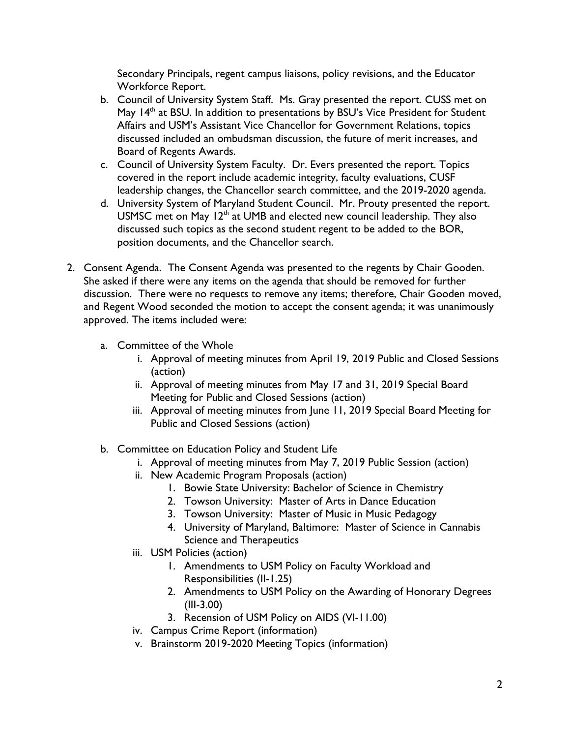Secondary Principals, regent campus liaisons, policy revisions, and the Educator Workforce Report.

- b. Council of University System Staff. Ms. Gray presented the report. CUSS met on May  $14<sup>th</sup>$  at BSU. In addition to presentations by BSU's Vice President for Student Affairs and USM's Assistant Vice Chancellor for Government Relations, topics discussed included an ombudsman discussion, the future of merit increases, and Board of Regents Awards.
- c. Council of University System Faculty. Dr. Evers presented the report. Topics covered in the report include academic integrity, faculty evaluations, CUSF leadership changes, the Chancellor search committee, and the 2019-2020 agenda.
- d. University System of Maryland Student Council. Mr. Prouty presented the report. USMSC met on May 12<sup>th</sup> at UMB and elected new council leadership. They also discussed such topics as the second student regent to be added to the BOR, position documents, and the Chancellor search.
- 2. Consent Agenda. The Consent Agenda was presented to the regents by Chair Gooden. She asked if there were any items on the agenda that should be removed for further discussion. There were no requests to remove any items; therefore, Chair Gooden moved, and Regent Wood seconded the motion to accept the consent agenda; it was unanimously approved. The items included were:
	- a. Committee of the Whole
		- i. Approval of meeting minutes from April 19, 2019 Public and Closed Sessions (action)
		- ii. Approval of meeting minutes from May 17 and 31, 2019 Special Board Meeting for Public and Closed Sessions (action)
		- iii. Approval of meeting minutes from June 11, 2019 Special Board Meeting for Public and Closed Sessions (action)
	- b. Committee on Education Policy and Student Life
		- i. Approval of meeting minutes from May 7, 2019 Public Session (action)
		- ii. New Academic Program Proposals (action)
			- 1. Bowie State University: Bachelor of Science in Chemistry
			- 2. Towson University: Master of Arts in Dance Education
			- 3. Towson University: Master of Music in Music Pedagogy
			- 4. University of Maryland, Baltimore: Master of Science in Cannabis Science and Therapeutics
		- iii. USM Policies (action)
			- 1. Amendments to USM Policy on Faculty Workload and Responsibilities (II-1.25)
			- 2. Amendments to USM Policy on the Awarding of Honorary Degrees (III-3.00)
			- 3. Recension of USM Policy on AIDS (VI-11.00)
		- iv. Campus Crime Report (information)
		- v. Brainstorm 2019-2020 Meeting Topics (information)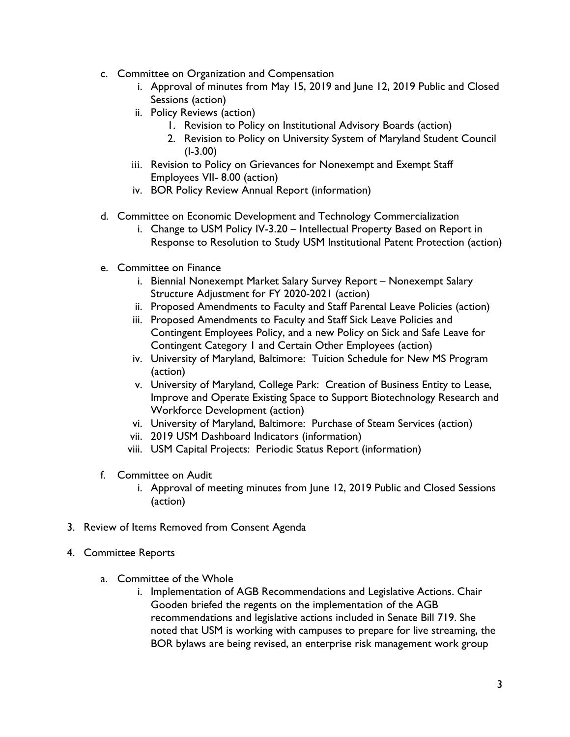- c. Committee on Organization and Compensation
	- i. Approval of minutes from May 15, 2019 and June 12, 2019 Public and Closed Sessions (action)
	- ii. Policy Reviews (action)
		- 1. Revision to Policy on Institutional Advisory Boards (action)
		- 2. Revision to Policy on University System of Maryland Student Council (I-3.00)
	- iii. Revision to Policy on Grievances for Nonexempt and Exempt Staff Employees VII- 8.00 (action)
	- iv. BOR Policy Review Annual Report (information)
- d. Committee on Economic Development and Technology Commercialization
	- i. Change to USM Policy IV-3.20 Intellectual Property Based on Report in Response to Resolution to Study USM Institutional Patent Protection (action)
- e. Committee on Finance
	- i. Biennial Nonexempt Market Salary Survey Report Nonexempt Salary Structure Adjustment for FY 2020-2021 (action)
	- ii. Proposed Amendments to Faculty and Staff Parental Leave Policies (action)
	- iii. Proposed Amendments to Faculty and Staff Sick Leave Policies and Contingent Employees Policy, and a new Policy on Sick and Safe Leave for Contingent Category 1 and Certain Other Employees (action)
	- iv. University of Maryland, Baltimore: Tuition Schedule for New MS Program (action)
	- v. University of Maryland, College Park: Creation of Business Entity to Lease, Improve and Operate Existing Space to Support Biotechnology Research and Workforce Development (action)
	- vi. University of Maryland, Baltimore: Purchase of Steam Services (action)
	- vii. 2019 USM Dashboard Indicators (information)
	- viii. USM Capital Projects: Periodic Status Report (information)
- f. Committee on Audit
	- i. Approval of meeting minutes from June 12, 2019 Public and Closed Sessions (action)
- 3. Review of Items Removed from Consent Agenda
- 4. Committee Reports
	- a. Committee of the Whole
		- i. Implementation of AGB Recommendations and Legislative Actions. Chair Gooden briefed the regents on the implementation of the AGB recommendations and legislative actions included in Senate Bill 719. She noted that USM is working with campuses to prepare for live streaming, the BOR bylaws are being revised, an enterprise risk management work group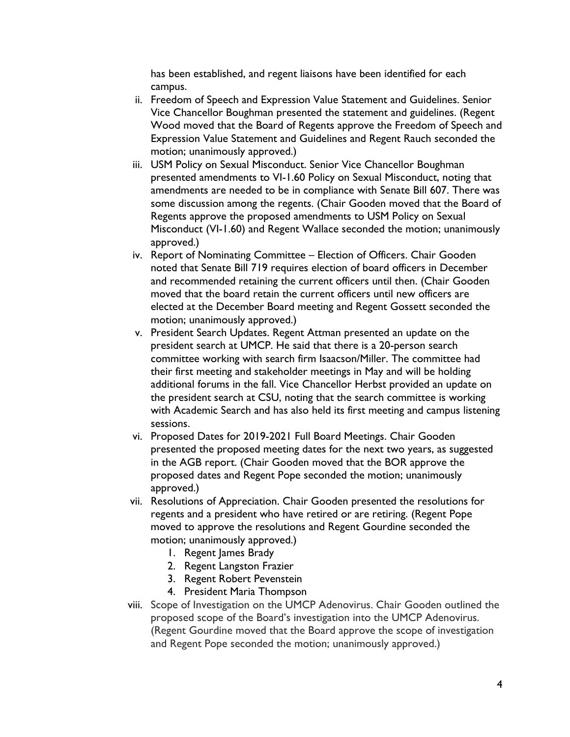has been established, and regent liaisons have been identified for each campus.

- ii. Freedom of Speech and Expression Value Statement and Guidelines. Senior Vice Chancellor Boughman presented the statement and guidelines. (Regent Wood moved that the Board of Regents approve the Freedom of Speech and Expression Value Statement and Guidelines and Regent Rauch seconded the motion; unanimously approved.)
- iii. USM Policy on Sexual Misconduct. Senior Vice Chancellor Boughman presented amendments to VI-1.60 Policy on Sexual Misconduct, noting that amendments are needed to be in compliance with Senate Bill 607. There was some discussion among the regents. (Chair Gooden moved that the Board of Regents approve the proposed amendments to USM Policy on Sexual Misconduct (VI-1.60) and Regent Wallace seconded the motion; unanimously approved.)
- iv. Report of Nominating Committee Election of Officers. Chair Gooden noted that Senate Bill 719 requires election of board officers in December and recommended retaining the current officers until then. (Chair Gooden moved that the board retain the current officers until new officers are elected at the December Board meeting and Regent Gossett seconded the motion; unanimously approved.)
- v. President Search Updates. Regent Attman presented an update on the president search at UMCP. He said that there is a 20-person search committee working with search firm Isaacson/Miller. The committee had their first meeting and stakeholder meetings in May and will be holding additional forums in the fall. Vice Chancellor Herbst provided an update on the president search at CSU, noting that the search committee is working with Academic Search and has also held its first meeting and campus listening sessions.
- vi. Proposed Dates for 2019-2021 Full Board Meetings. Chair Gooden presented the proposed meeting dates for the next two years, as suggested in the AGB report. (Chair Gooden moved that the BOR approve the proposed dates and Regent Pope seconded the motion; unanimously approved.)
- vii. Resolutions of Appreciation. Chair Gooden presented the resolutions for regents and a president who have retired or are retiring. (Regent Pope moved to approve the resolutions and Regent Gourdine seconded the motion; unanimously approved.)
	- 1. Regent James Brady
	- 2. Regent Langston Frazier
	- 3. Regent Robert Pevenstein
	- 4. President Maria Thompson
- viii. Scope of Investigation on the UMCP Adenovirus. Chair Gooden outlined the proposed scope of the Board's investigation into the UMCP Adenovirus. (Regent Gourdine moved that the Board approve the scope of investigation and Regent Pope seconded the motion; unanimously approved.)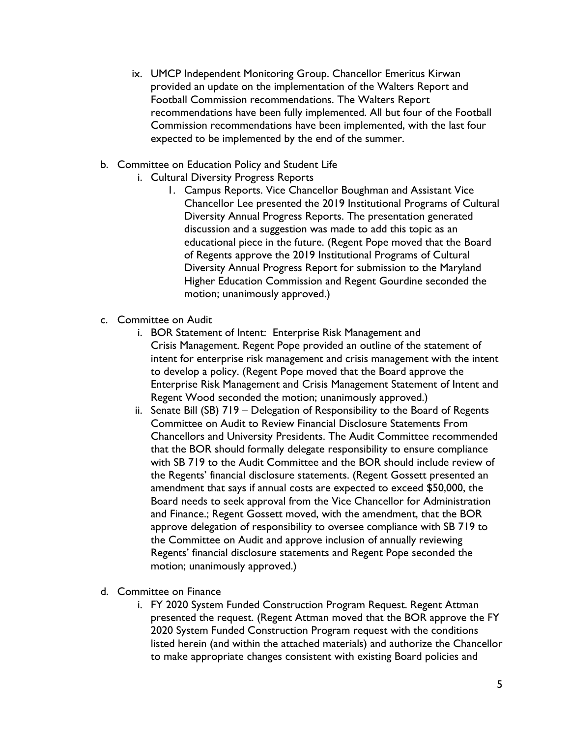- ix. UMCP Independent Monitoring Group. Chancellor Emeritus Kirwan provided an update on the implementation of the Walters Report and Football Commission recommendations. The Walters Report recommendations have been fully implemented. All but four of the Football Commission recommendations have been implemented, with the last four expected to be implemented by the end of the summer.
- b. Committee on Education Policy and Student Life
	- i. Cultural Diversity Progress Reports
		- 1. Campus Reports. Vice Chancellor Boughman and Assistant Vice Chancellor Lee presented the 2019 Institutional Programs of Cultural Diversity Annual Progress Reports. The presentation generated discussion and a suggestion was made to add this topic as an educational piece in the future. (Regent Pope moved that the Board of Regents approve the 2019 Institutional Programs of Cultural Diversity Annual Progress Report for submission to the Maryland Higher Education Commission and Regent Gourdine seconded the motion; unanimously approved.)
- c. Committee on Audit
	- i. BOR Statement of Intent: Enterprise Risk Management and Crisis Management. Regent Pope provided an outline of the statement of intent for enterprise risk management and crisis management with the intent to develop a policy. (Regent Pope moved that the Board approve the Enterprise Risk Management and Crisis Management Statement of Intent and Regent Wood seconded the motion; unanimously approved.)
	- ii. Senate Bill (SB) 719 Delegation of Responsibility to the Board of Regents Committee on Audit to Review Financial Disclosure Statements From Chancellors and University Presidents. The Audit Committee recommended that the BOR should formally delegate responsibility to ensure compliance with SB 719 to the Audit Committee and the BOR should include review of the Regents' financial disclosure statements. (Regent Gossett presented an amendment that says if annual costs are expected to exceed \$50,000, the Board needs to seek approval from the Vice Chancellor for Administration and Finance.; Regent Gossett moved, with the amendment, that the BOR approve delegation of responsibility to oversee compliance with SB 719 to the Committee on Audit and approve inclusion of annually reviewing Regents' financial disclosure statements and Regent Pope seconded the motion; unanimously approved.)
- d. Committee on Finance
	- i. FY 2020 System Funded Construction Program Request. Regent Attman presented the request. (Regent Attman moved that the BOR approve the FY 2020 System Funded Construction Program request with the conditions listed herein (and within the attached materials) and authorize the Chancellor to make appropriate changes consistent with existing Board policies and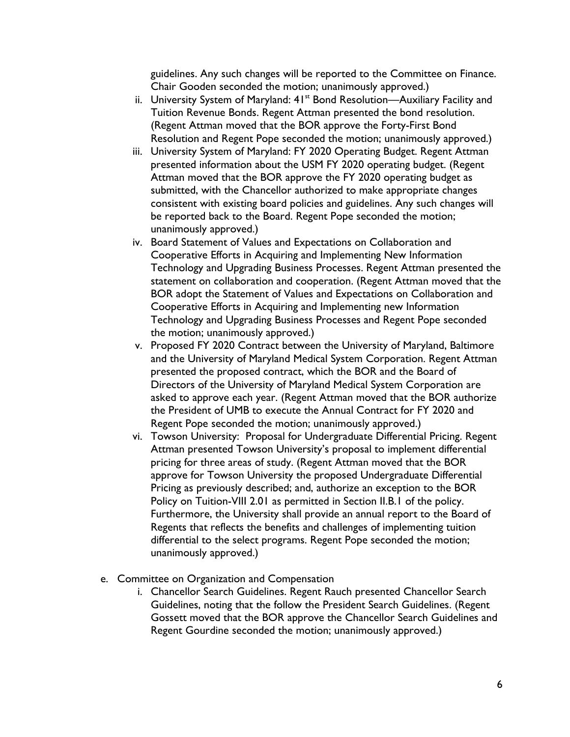guidelines. Any such changes will be reported to the Committee on Finance. Chair Gooden seconded the motion; unanimously approved.)

- ii. University System of Maryland: 41<sup>st</sup> Bond Resolution—Auxiliary Facility and Tuition Revenue Bonds. Regent Attman presented the bond resolution. (Regent Attman moved that the BOR approve the Forty-First Bond Resolution and Regent Pope seconded the motion; unanimously approved.)
- iii. University System of Maryland: FY 2020 Operating Budget. Regent Attman presented information about the USM FY 2020 operating budget. (Regent Attman moved that the BOR approve the FY 2020 operating budget as submitted, with the Chancellor authorized to make appropriate changes consistent with existing board policies and guidelines. Any such changes will be reported back to the Board. Regent Pope seconded the motion; unanimously approved.)
- iv. Board Statement of Values and Expectations on Collaboration and Cooperative Efforts in Acquiring and Implementing New Information Technology and Upgrading Business Processes. Regent Attman presented the statement on collaboration and cooperation. (Regent Attman moved that the BOR adopt the Statement of Values and Expectations on Collaboration and Cooperative Efforts in Acquiring and Implementing new Information Technology and Upgrading Business Processes and Regent Pope seconded the motion; unanimously approved.)
- v. Proposed FY 2020 Contract between the University of Maryland, Baltimore and the University of Maryland Medical System Corporation. Regent Attman presented the proposed contract, which the BOR and the Board of Directors of the University of Maryland Medical System Corporation are asked to approve each year. (Regent Attman moved that the BOR authorize the President of UMB to execute the Annual Contract for FY 2020 and Regent Pope seconded the motion; unanimously approved.)
- vi. Towson University: Proposal for Undergraduate Differential Pricing. Regent Attman presented Towson University's proposal to implement differential pricing for three areas of study. (Regent Attman moved that the BOR approve for Towson University the proposed Undergraduate Differential Pricing as previously described; and, authorize an exception to the BOR Policy on Tuition-VIII 2.01 as permitted in Section II.B.1 of the policy. Furthermore, the University shall provide an annual report to the Board of Regents that reflects the benefits and challenges of implementing tuition differential to the select programs. Regent Pope seconded the motion; unanimously approved.)
- e. Committee on Organization and Compensation
	- i. Chancellor Search Guidelines. Regent Rauch presented Chancellor Search Guidelines, noting that the follow the President Search Guidelines. (Regent Gossett moved that the BOR approve the Chancellor Search Guidelines and Regent Gourdine seconded the motion; unanimously approved.)